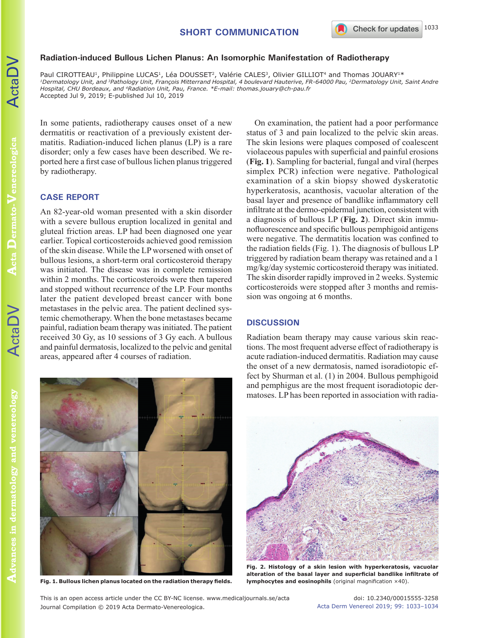## **Radiation-induced Bullous Lichen Planus: An Isomorphic Manifestation of Radiotherapy**

Paul CIROTTEAU<sup>1</sup>, Philippine LUCAS<sup>1</sup>, Léa DOUSSET<sup>2</sup>, Valérie CALES<sup>3</sup>, Olivier GILLIOT<sup>4</sup> and Thomas JOUARY<sup>1\*</sup> *1Dermatology Unit, and 3Pathology Unit, François Mitterrand Hospital, 4 boulevard Hauterive, FR-64000 Pau, 2Dermatology Unit, Saint Andre Hospital, CHU Bordeaux, and 4Radiation Unit, Pau, France. \*E-mail: thomas.jouary@ch-pau.fr* Accepted Jul 9, 2019; E-published Jul 10, 2019

In some patients, radiotherapy causes onset of a new dermatitis or reactivation of a previously existent dermatitis. Radiation-induced lichen planus (LP) is a rare disorder; only a few cases have been described. We reported here a first case of bullous lichen planus triggered by radiotherapy.

## **CASE REPORT**

An 82-year-old woman presented with a skin disorder with a severe bullous eruption localized in genital and gluteal friction areas. LP had been diagnosed one year earlier. Topical corticosteroids achieved good remission of the skin disease. While the LP worsened with onset of bullous lesions, a short-term oral corticosteroid therapy was initiated. The disease was in complete remission within 2 months. The corticosteroids were then tapered and stopped without recurrence of the LP. Four months later the patient developed breast cancer with bone metastases in the pelvic area. The patient declined systemic chemotherapy. When the bone metastases became painful, radiation beam therapy was initiated. The patient received 30 Gy, as 10 sessions of 3 Gy each. A bullous and painful dermatosis, localized to the pelvic and genital areas, appeared after 4 courses of radiation.

On examination, the patient had a poor performance status of 3 and pain localized to the pelvic skin areas. The skin lesions were plaques composed of coalescent violaceous papules with superficial and painful erosions (**Fig. 1**). Sampling for bacterial, fungal and viral (herpes simplex PCR) infection were negative. Pathological examination of a skin biopsy showed dyskeratotic hyperkeratosis, acanthosis, vacuolar alteration of the basal layer and presence of bandlike inflammatory cell infiltrate at the dermo-epidermal junction, consistent with a diagnosis of bullous LP (**Fig. 2**). Direct skin immunofluorescence and specific bullous pemphigoid antigens were negative. The dermatitis location was confined to the radiation fields (Fig. 1). The diagnosis of bullous LP triggered by radiation beam therapy was retained and a 1 mg/kg/day systemic corticosteroid therapy was initiated. The skin disorder rapidly improved in 2 weeks. Systemic corticosteroids were stopped after 3 months and remission was ongoing at 6 months.

## **DISCUSSION**

Radiation beam therapy may cause various skin reactions. The most frequent adverse effect of radiotherapy is acute radiation-induced dermatitis. Radiation may cause the onset of a new dermatosis, named isoradiotopic effect by Shurman et al. (1) in 2004. Bullous pemphigoid and pemphigus are the most frequent isoradiotopic dermatoses. LP has been reported in association with radia-



**Fig. 2. Histology of a skin lesion with hyperkeratosis, vacuolar alteration of the basal layer and superficial bandlike infiltrate of lymphocytes and eosinophils** (original magnification ×40).

ActaDV

**Acta Dermato-Venereologica** 

**Venereologica**

**Dermato-**

**ActaDV**